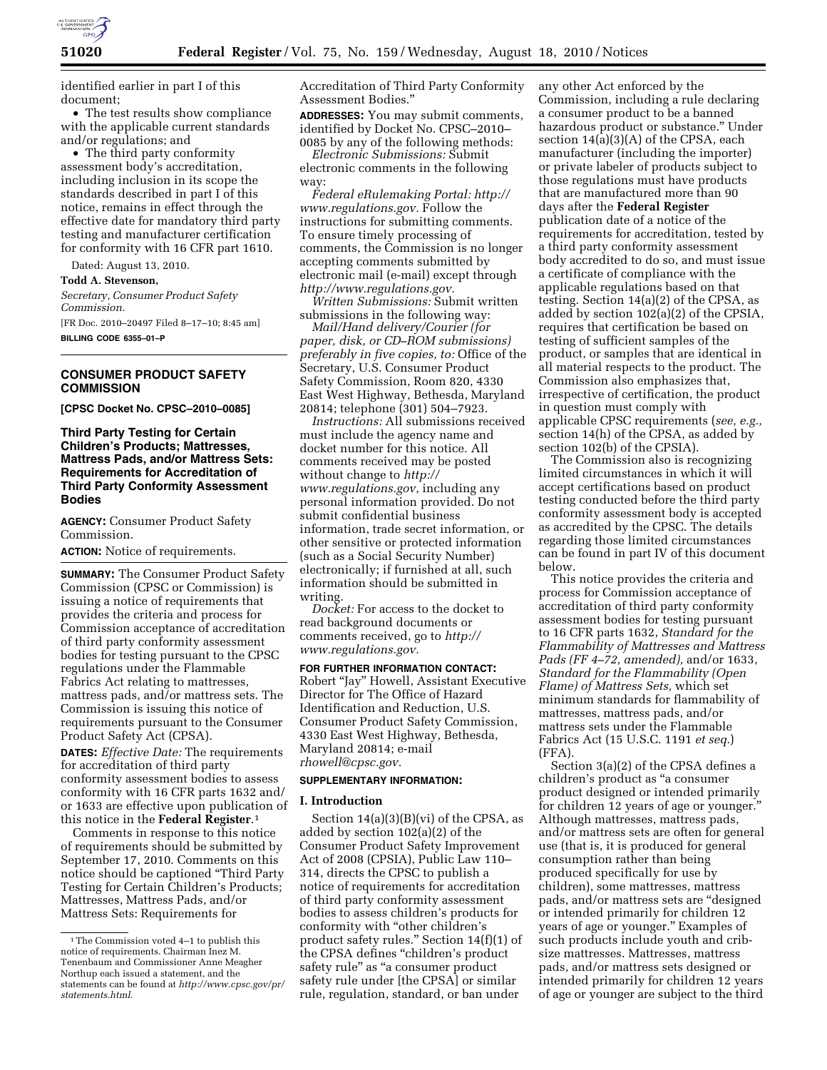

identified earlier in part I of this document;

• The test results show compliance with the applicable current standards and/or regulations; and

• The third party conformity assessment body's accreditation, including inclusion in its scope the standards described in part I of this notice, remains in effect through the effective date for mandatory third party testing and manufacturer certification for conformity with 16 CFR part 1610.

Dated: August 13, 2010.

**Todd A. Stevenson,** 

*Secretary, Consumer Product Safety Commission.* 

[FR Doc. 2010–20497 Filed 8–17–10; 8:45 am] **BILLING CODE 6355–01–P** 

# **CONSUMER PRODUCT SAFETY COMMISSION**

**[CPSC Docket No. CPSC–2010–0085]** 

# **Third Party Testing for Certain Children's Products; Mattresses, Mattress Pads, and/or Mattress Sets: Requirements for Accreditation of Third Party Conformity Assessment Bodies**

**AGENCY:** Consumer Product Safety Commission.

**ACTION:** Notice of requirements.

**SUMMARY:** The Consumer Product Safety Commission (CPSC or Commission) is issuing a notice of requirements that provides the criteria and process for Commission acceptance of accreditation of third party conformity assessment bodies for testing pursuant to the CPSC regulations under the Flammable Fabrics Act relating to mattresses, mattress pads, and/or mattress sets. The Commission is issuing this notice of requirements pursuant to the Consumer Product Safety Act (CPSA).

**DATES:** *Effective Date:* The requirements for accreditation of third party conformity assessment bodies to assess conformity with 16 CFR parts 1632 and/ or 1633 are effective upon publication of this notice in the **Federal Register**.1

Comments in response to this notice of requirements should be submitted by September 17, 2010. Comments on this notice should be captioned ''Third Party Testing for Certain Children's Products; Mattresses, Mattress Pads, and/or Mattress Sets: Requirements for

Accreditation of Third Party Conformity Assessment Bodies.''

**ADDRESSES:** You may submit comments, identified by Docket No. CPSC–2010– 0085 by any of the following methods:

*Electronic Submissions:* Submit electronic comments in the following way:

*Federal eRulemaking Portal: [http://](http://www.regulations.gov)  [www.regulations.gov.](http://www.regulations.gov)* Follow the instructions for submitting comments. To ensure timely processing of comments, the Commission is no longer accepting comments submitted by electronic mail (e-mail) except through *[http://www.regulations.gov.](http://www.regulations.gov)* 

*Written Submissions:* Submit written submissions in the following way:

*Mail/Hand delivery/Courier (for paper, disk, or CD–ROM submissions) preferably in five copies, to:* Office of the Secretary, U.S. Consumer Product Safety Commission, Room 820, 4330 East West Highway, Bethesda, Maryland 20814; telephone (301) 504–7923.

*Instructions:* All submissions received must include the agency name and docket number for this notice. All comments received may be posted without change to *[http://](http://www.regulations.gov) [www.regulations.gov](http://www.regulations.gov)*, including any personal information provided. Do not submit confidential business information, trade secret information, or other sensitive or protected information (such as a Social Security Number) electronically; if furnished at all, such information should be submitted in writing.

*Docket:* For access to the docket to read background documents or comments received, go to *[http://](http://www.regulations.gov)  [www.regulations.gov.](http://www.regulations.gov)* 

**FOR FURTHER INFORMATION CONTACT:**  Robert ''Jay'' Howell, Assistant Executive Director for The Office of Hazard Identification and Reduction, U.S. Consumer Product Safety Commission, 4330 East West Highway, Bethesda, Maryland 20814; e-mail *[rhowell@cpsc.gov.](mailto:rhowell@cpsc.gov)* 

#### **SUPPLEMENTARY INFORMATION:**

#### **I. Introduction**

Section  $14(a)(3)(B)(vi)$  of the CPSA, as added by section 102(a)(2) of the Consumer Product Safety Improvement Act of 2008 (CPSIA), Public Law 110– 314, directs the CPSC to publish a notice of requirements for accreditation of third party conformity assessment bodies to assess children's products for conformity with ''other children's product safety rules.'' Section 14(f)(1) of the CPSA defines ''children's product safety rule" as "a consumer product safety rule under [the CPSA] or similar rule, regulation, standard, or ban under

any other Act enforced by the Commission, including a rule declaring a consumer product to be a banned hazardous product or substance.'' Under section 14(a)(3)(A) of the CPSA, each manufacturer (including the importer) or private labeler of products subject to those regulations must have products that are manufactured more than 90 days after the **Federal Register**  publication date of a notice of the requirements for accreditation, tested by a third party conformity assessment body accredited to do so, and must issue a certificate of compliance with the applicable regulations based on that testing. Section 14(a)(2) of the CPSA, as added by section 102(a)(2) of the CPSIA, requires that certification be based on testing of sufficient samples of the product, or samples that are identical in all material respects to the product. The Commission also emphasizes that, irrespective of certification, the product in question must comply with applicable CPSC requirements (*see, e.g.,*  section 14(h) of the CPSA, as added by section 102(b) of the CPSIA).

The Commission also is recognizing limited circumstances in which it will accept certifications based on product testing conducted before the third party conformity assessment body is accepted as accredited by the CPSC. The details regarding those limited circumstances can be found in part IV of this document below.

This notice provides the criteria and process for Commission acceptance of accreditation of third party conformity assessment bodies for testing pursuant to 16 CFR parts 1632, *Standard for the Flammability of Mattresses and Mattress Pads (FF 4–72, amended),* and/or 1633, *Standard for the Flammability (Open Flame) of Mattress Sets,* which set minimum standards for flammability of mattresses, mattress pads, and/or mattress sets under the Flammable Fabrics Act (15 U.S.C. 1191 *et seq.*) (FFA).

Section 3(a)(2) of the CPSA defines a children's product as ''a consumer product designed or intended primarily for children 12 years of age or younger.'' Although mattresses, mattress pads, and/or mattress sets are often for general use (that is, it is produced for general consumption rather than being produced specifically for use by children), some mattresses, mattress pads, and/or mattress sets are ''designed or intended primarily for children 12 years of age or younger.'' Examples of such products include youth and cribsize mattresses. Mattresses, mattress pads, and/or mattress sets designed or intended primarily for children 12 years of age or younger are subject to the third

<sup>1</sup>The Commission voted 4–1 to publish this notice of requirements. Chairman Inez M. Tenenbaum and Commissioner Anne Meagher Northup each issued a statement, and the statements can be found at *[http://www.cpsc.gov/pr/](http://www.cpsc.gov/pr/statements.html)  [statements.html.](http://www.cpsc.gov/pr/statements.html)*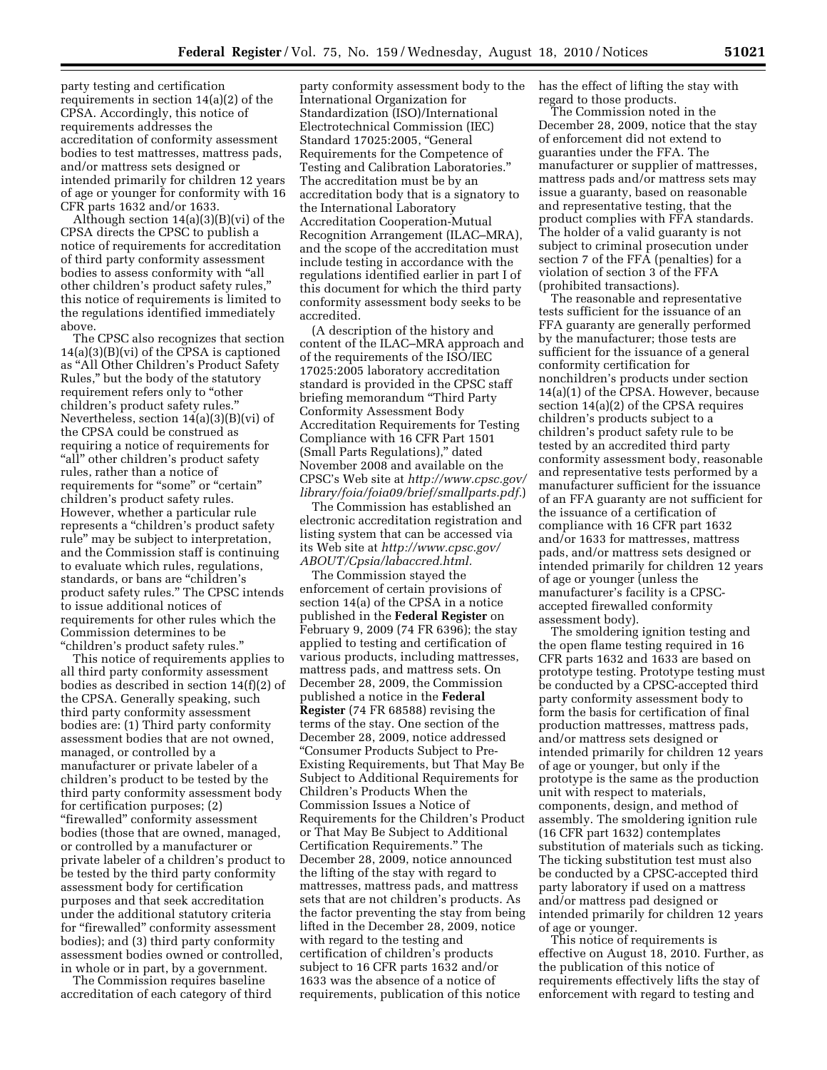party testing and certification requirements in section 14(a)(2) of the CPSA. Accordingly, this notice of requirements addresses the accreditation of conformity assessment bodies to test mattresses, mattress pads, and/or mattress sets designed or intended primarily for children 12 years of age or younger for conformity with 16 CFR parts 1632 and/or 1633.

Although section 14(a)(3)(B)(vi) of the CPSA directs the CPSC to publish a notice of requirements for accreditation of third party conformity assessment bodies to assess conformity with ''all other children's product safety rules,'' this notice of requirements is limited to the regulations identified immediately above.

The CPSC also recognizes that section 14(a)(3)(B)(vi) of the CPSA is captioned as ''All Other Children's Product Safety Rules,'' but the body of the statutory requirement refers only to ''other children's product safety rules.'' Nevertheless, section 14(a)(3)(B)(vi) of the CPSA could be construed as requiring a notice of requirements for "all" other children's product safety rules, rather than a notice of requirements for "some" or "certain" children's product safety rules. However, whether a particular rule represents a ''children's product safety rule'' may be subject to interpretation, and the Commission staff is continuing to evaluate which rules, regulations, standards, or bans are ''children's product safety rules.'' The CPSC intends to issue additional notices of requirements for other rules which the Commission determines to be ''children's product safety rules.''

This notice of requirements applies to all third party conformity assessment bodies as described in section 14(f)(2) of the CPSA. Generally speaking, such third party conformity assessment bodies are: (1) Third party conformity assessment bodies that are not owned, managed, or controlled by a manufacturer or private labeler of a children's product to be tested by the third party conformity assessment body for certification purposes; (2) ''firewalled'' conformity assessment bodies (those that are owned, managed, or controlled by a manufacturer or private labeler of a children's product to be tested by the third party conformity assessment body for certification purposes and that seek accreditation under the additional statutory criteria for ''firewalled'' conformity assessment bodies); and (3) third party conformity assessment bodies owned or controlled, in whole or in part, by a government.

The Commission requires baseline accreditation of each category of third

party conformity assessment body to the International Organization for Standardization (ISO)/International Electrotechnical Commission (IEC) Standard 17025:2005, ''General Requirements for the Competence of Testing and Calibration Laboratories.'' The accreditation must be by an accreditation body that is a signatory to the International Laboratory Accreditation Cooperation-Mutual Recognition Arrangement (ILAC–MRA), and the scope of the accreditation must include testing in accordance with the regulations identified earlier in part I of this document for which the third party conformity assessment body seeks to be accredited.

(A description of the history and content of the ILAC–MRA approach and of the requirements of the ISO/IEC 17025:2005 laboratory accreditation standard is provided in the CPSC staff briefing memorandum ''Third Party Conformity Assessment Body Accreditation Requirements for Testing Compliance with 16 CFR Part 1501 (Small Parts Regulations),'' dated November 2008 and available on the CPSC's Web site at *[http://www.cpsc.gov/](http://www.cpsc.gov/library/foia/foia09/brief/smallparts.pdf)  [library/foia/foia09/brief/smallparts.pdf.](http://www.cpsc.gov/library/foia/foia09/brief/smallparts.pdf)*)

The Commission has established an electronic accreditation registration and listing system that can be accessed via its Web site at *[http://www.cpsc.gov/](http://www.cpsc.gov/ABOUT/Cpsia/labaccred.html) [ABOUT/Cpsia/labaccred.html.](http://www.cpsc.gov/ABOUT/Cpsia/labaccred.html)* 

The Commission stayed the enforcement of certain provisions of section 14(a) of the CPSA in a notice published in the **Federal Register** on February 9, 2009 (74 FR 6396); the stay applied to testing and certification of various products, including mattresses, mattress pads, and mattress sets. On December 28, 2009, the Commission published a notice in the **Federal Register** (74 FR 68588) revising the terms of the stay. One section of the December 28, 2009, notice addressed ''Consumer Products Subject to Pre-Existing Requirements, but That May Be Subject to Additional Requirements for Children's Products When the Commission Issues a Notice of Requirements for the Children's Product or That May Be Subject to Additional Certification Requirements.'' The December 28, 2009, notice announced the lifting of the stay with regard to mattresses, mattress pads, and mattress sets that are not children's products. As the factor preventing the stay from being lifted in the December 28, 2009, notice with regard to the testing and certification of children's products subject to 16 CFR parts 1632 and/or 1633 was the absence of a notice of requirements, publication of this notice

has the effect of lifting the stay with regard to those products.

The Commission noted in the December 28, 2009, notice that the stay of enforcement did not extend to guaranties under the FFA. The manufacturer or supplier of mattresses, mattress pads and/or mattress sets may issue a guaranty, based on reasonable and representative testing, that the product complies with FFA standards. The holder of a valid guaranty is not subject to criminal prosecution under section 7 of the FFA (penalties) for a violation of section 3 of the FFA (prohibited transactions).

The reasonable and representative tests sufficient for the issuance of an FFA guaranty are generally performed by the manufacturer; those tests are sufficient for the issuance of a general conformity certification for nonchildren's products under section 14(a)(1) of the CPSA. However, because section 14(a)(2) of the CPSA requires children's products subject to a children's product safety rule to be tested by an accredited third party conformity assessment body, reasonable and representative tests performed by a manufacturer sufficient for the issuance of an FFA guaranty are not sufficient for the issuance of a certification of compliance with 16 CFR part 1632 and/or 1633 for mattresses, mattress pads, and/or mattress sets designed or intended primarily for children 12 years of age or younger (unless the manufacturer's facility is a CPSCaccepted firewalled conformity assessment body).

The smoldering ignition testing and the open flame testing required in 16 CFR parts 1632 and 1633 are based on prototype testing. Prototype testing must be conducted by a CPSC-accepted third party conformity assessment body to form the basis for certification of final production mattresses, mattress pads, and/or mattress sets designed or intended primarily for children 12 years of age or younger, but only if the prototype is the same as the production unit with respect to materials, components, design, and method of assembly. The smoldering ignition rule (16 CFR part 1632) contemplates substitution of materials such as ticking. The ticking substitution test must also be conducted by a CPSC-accepted third party laboratory if used on a mattress and/or mattress pad designed or intended primarily for children 12 years of age or younger.

This notice of requirements is effective on August 18, 2010. Further, as the publication of this notice of requirements effectively lifts the stay of enforcement with regard to testing and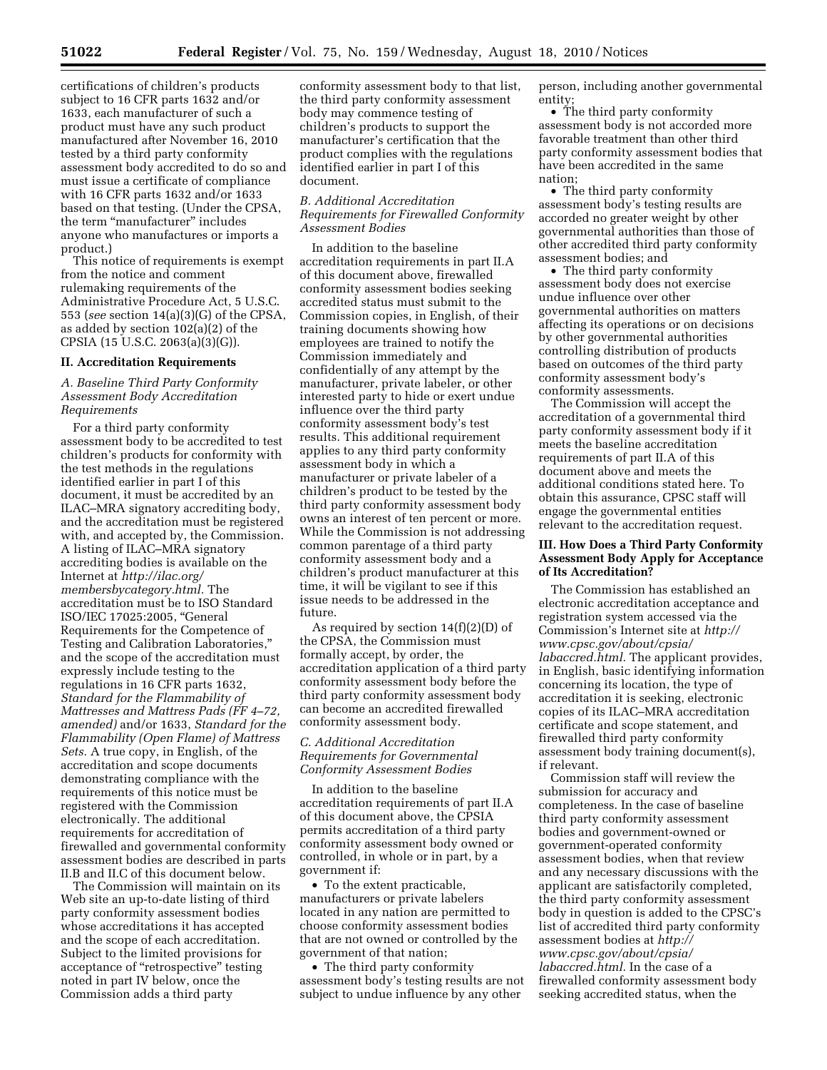certifications of children's products subject to 16 CFR parts 1632 and/or 1633, each manufacturer of such a product must have any such product manufactured after November 16, 2010 tested by a third party conformity assessment body accredited to do so and must issue a certificate of compliance with 16 CFR parts 1632 and/or 1633 based on that testing. (Under the CPSA, the term "manufacturer" includes anyone who manufactures or imports a product.)

This notice of requirements is exempt from the notice and comment rulemaking requirements of the Administrative Procedure Act, 5 U.S.C. 553 (*see* section 14(a)(3)(G) of the CPSA, as added by section 102(a)(2) of the CPSIA (15 U.S.C. 2063(a)(3)(G)).

### **II. Accreditation Requirements**

# *A. Baseline Third Party Conformity Assessment Body Accreditation Requirements*

For a third party conformity assessment body to be accredited to test children's products for conformity with the test methods in the regulations identified earlier in part I of this document, it must be accredited by an ILAC–MRA signatory accrediting body, and the accreditation must be registered with, and accepted by, the Commission. A listing of ILAC–MRA signatory accrediting bodies is available on the Internet at *[http://ilac.org/](http://ilac.org/membersbycategory.html)  [membersbycategory.html.](http://ilac.org/membersbycategory.html)* The accreditation must be to ISO Standard ISO/IEC 17025:2005, ''General Requirements for the Competence of Testing and Calibration Laboratories,'' and the scope of the accreditation must expressly include testing to the regulations in 16 CFR parts 1632, *Standard for the Flammability of Mattresses and Mattress Pads (FF 4–72, amended)* and/or 1633, *Standard for the Flammability (Open Flame) of Mattress Sets.* A true copy, in English, of the accreditation and scope documents demonstrating compliance with the requirements of this notice must be registered with the Commission electronically. The additional requirements for accreditation of firewalled and governmental conformity assessment bodies are described in parts II.B and II.C of this document below.

The Commission will maintain on its Web site an up-to-date listing of third party conformity assessment bodies whose accreditations it has accepted and the scope of each accreditation. Subject to the limited provisions for acceptance of ''retrospective'' testing noted in part IV below, once the Commission adds a third party

conformity assessment body to that list, the third party conformity assessment body may commence testing of children's products to support the manufacturer's certification that the product complies with the regulations identified earlier in part I of this document.

*B. Additional Accreditation Requirements for Firewalled Conformity Assessment Bodies* 

In addition to the baseline accreditation requirements in part II.A of this document above, firewalled conformity assessment bodies seeking accredited status must submit to the Commission copies, in English, of their training documents showing how employees are trained to notify the Commission immediately and confidentially of any attempt by the manufacturer, private labeler, or other interested party to hide or exert undue influence over the third party conformity assessment body's test results. This additional requirement applies to any third party conformity assessment body in which a manufacturer or private labeler of a children's product to be tested by the third party conformity assessment body owns an interest of ten percent or more. While the Commission is not addressing common parentage of a third party conformity assessment body and a children's product manufacturer at this time, it will be vigilant to see if this issue needs to be addressed in the future.

As required by section 14(f)(2)(D) of the CPSA, the Commission must formally accept, by order, the accreditation application of a third party conformity assessment body before the third party conformity assessment body can become an accredited firewalled conformity assessment body.

### *C. Additional Accreditation Requirements for Governmental Conformity Assessment Bodies*

In addition to the baseline accreditation requirements of part II.A of this document above, the CPSIA permits accreditation of a third party conformity assessment body owned or controlled, in whole or in part, by a government if:

• To the extent practicable, manufacturers or private labelers located in any nation are permitted to choose conformity assessment bodies that are not owned or controlled by the government of that nation;

• The third party conformity assessment body's testing results are not subject to undue influence by any other

person, including another governmental entity;

• The third party conformity assessment body is not accorded more favorable treatment than other third party conformity assessment bodies that have been accredited in the same nation;

• The third party conformity assessment body's testing results are accorded no greater weight by other governmental authorities than those of other accredited third party conformity assessment bodies; and

• The third party conformity assessment body does not exercise undue influence over other governmental authorities on matters affecting its operations or on decisions by other governmental authorities controlling distribution of products based on outcomes of the third party conformity assessment body's conformity assessments.

The Commission will accept the accreditation of a governmental third party conformity assessment body if it meets the baseline accreditation requirements of part II.A of this document above and meets the additional conditions stated here. To obtain this assurance, CPSC staff will engage the governmental entities relevant to the accreditation request.

# **III. How Does a Third Party Conformity Assessment Body Apply for Acceptance of Its Accreditation?**

The Commission has established an electronic accreditation acceptance and registration system accessed via the Commission's Internet site at *[http://](http://www.cpsc.gov/about/cpsia/labaccred.html)  [www.cpsc.gov/about/cpsia/](http://www.cpsc.gov/about/cpsia/labaccred.html) [labaccred.html.](http://www.cpsc.gov/about/cpsia/labaccred.html)* The applicant provides, in English, basic identifying information concerning its location, the type of accreditation it is seeking, electronic copies of its ILAC–MRA accreditation certificate and scope statement, and firewalled third party conformity assessment body training document(s), if relevant.

Commission staff will review the submission for accuracy and completeness. In the case of baseline third party conformity assessment bodies and government-owned or government-operated conformity assessment bodies, when that review and any necessary discussions with the applicant are satisfactorily completed, the third party conformity assessment body in question is added to the CPSC's list of accredited third party conformity assessment bodies at *[http://](http://www.cpsc.gov/about/cpsia/labaccred.html) [www.cpsc.gov/about/cpsia/](http://www.cpsc.gov/about/cpsia/labaccred.html) [labaccred.html.](http://www.cpsc.gov/about/cpsia/labaccred.html)* In the case of a firewalled conformity assessment body seeking accredited status, when the